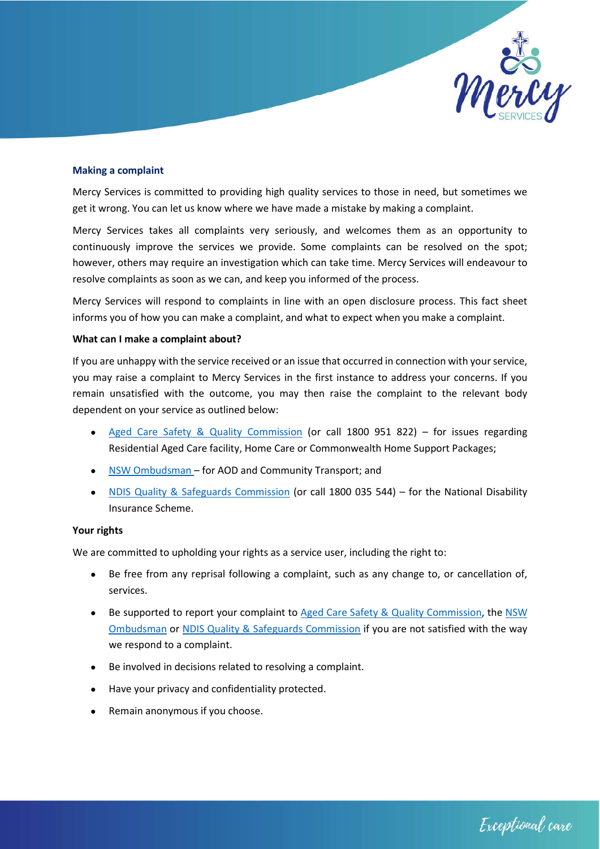

#### **Making a complaint**

Mercy Services is committed to providing high quality services to those in need, but sometimes we get it wrong. You can let us know where we have made a mistake by making a complaint.

Mercy Services takes all complaints very seriously, and welcomes them as an opportunity to continuously improve the services we provide. Some complaints can be resolved on the spot; however, others may require an investigation which can take time. Mercy Services will endeavour to resolve complaints as soon as we can, and keep you informed of the process.

Mercy Services will respond to complaints in line with an open disclosure process. This fact sheet informs you of how you can make a complaint, and what to expect when you make a complaint.

## **What can I make a complaint about?**

If you are unhappy with the service received or an issue that occurred in connection with your service, you may raise a complaint to Mercy Services in the first instance to address your concerns. If you remain unsatisfied with the outcome, you may then raise the complaint to the relevant body dependent on your service as outlined below:

- Aged Care Safety & Quality Commission (or call 1800 951 822) for issues regarding Residential Aged Care facility, Home Care or Commonwealth Home Support Packages;
- NSW Ombudsman for AOD and Community Transport; and
- NDIS Quality & Safeguards Commission (or call 1800 035 544) for the National Disability Insurance Scheme.

#### **Your rights**

We are committed to upholding your rights as a service user, including the right to:

- Be free from any reprisal following a complaint, such as any change to, or cancellation of, services.
- Be supported to report your complaint to Aged Care Safety & Quality Commission, the NSW Ombudsman or NDIS Quality & Safeguards Commission if you are not satisfied with the way we respond to a complaint.
- Be involved in decisions related to resolving a complaint.
- Have your privacy and confidentiality protected.
- Remain anonymous if you choose.